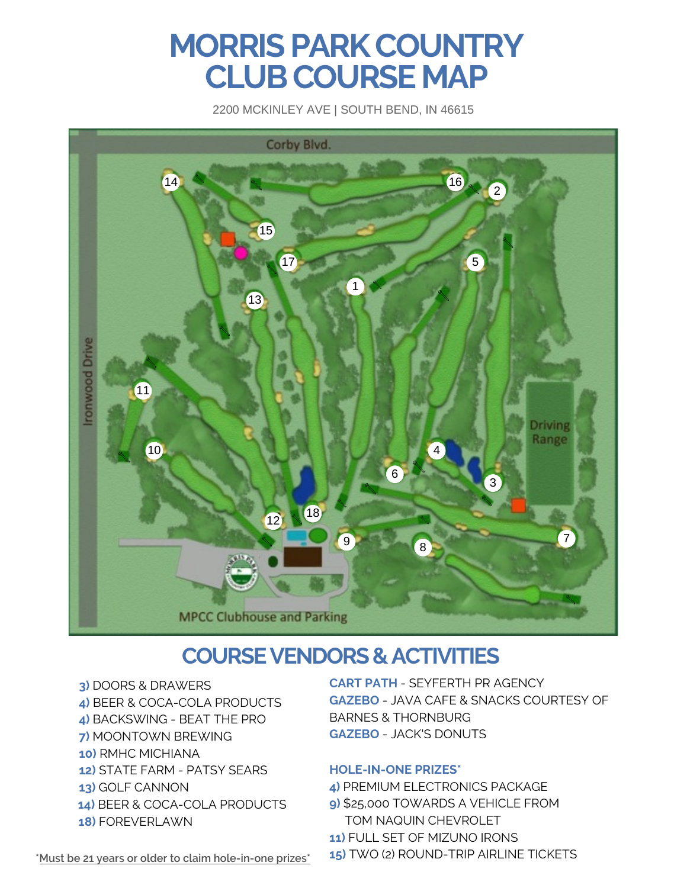# **MORRIS PARK COUNTRY CLUB COURSE MAP**

2200 MCKINLEY AVE | SOUTH BEND, IN 46615



# **COURSEVENDORS & ACTIVITIES**

- **3)** DOORS & DRAWERS
- **4)** BEER & COCA-COLA PRODUCTS
- **4)** BACKSWING BEAT THE PRO
- **7)** MOONTOWN BREWING
- **10)** RMHC MICHIANA
- **12)** STATE FARM PATSY SEARS
- **13)** GOLF CANNON
- **14)** BEER & COCA-COLA PRODUCTS
- **18)** FOREVERLAWN

**CART PATH** - SEYFERTH PR AGENCY **GAZEBO** - JAVA CAFE & SNACKS COURTESY OF BARNES & THORNBURG **GAZEBO** - JACK'S DONUTS

#### **HOLE-IN-ONE PRIZES\***

- **4)** PREMIUM ELECTRONICS PACKAGE
- **9)** \$25,000 TOWARDS A VEHICLE FROM TOM NAQUIN CHEVROLET
- **11)** FULL SET OF MIZUNO IRONS
- **15)** TWO (2) ROUND-TRIP AIRLINE TICKETS

**\*Must be 21 years or older to claim hole-in-one prizes\***